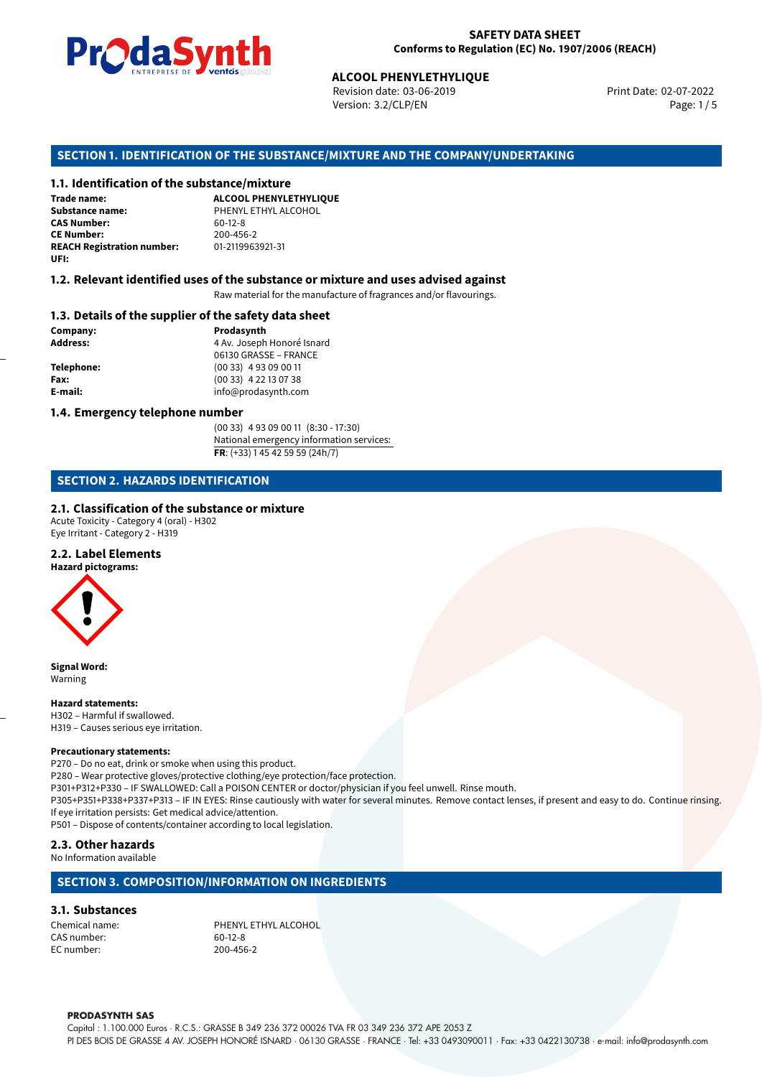

Revision date: 03-06-2019 Version: 3.2/CLP/EN Page: 1 / 5

Print Date: 02-07-2022

# **ALCOOL PHENYLETHYLIQUE**<br>
Revision date: 03-06-2019<br>
Version: 3.2/CLP/EN<br> **OF THE SUBSTANCE/MIXTURE AND THE COMPANY<br>
tance/mixture<br>
ALCOOL PHENYLETHYLIQUE SECTION 1. IDENTIFICATION OF THE SUBSTANCE/MIXTURE AND THE COMPANY/UNDERTAKING**

#### **1.1. Identification of the substance/mixture**

**Trade name: Substance name:** PHENYL ETHYL ALCOHOL<br> **CAS Number:** 60-12-8 **CAS Number: CE Number:** 200-456-2<br>**REACH Registration number:** 201-2119963921-31 **REACH Registration number: UFI:**

#### **1.2. Relevant identified uses of the substance or mixture and uses advised against**

Raw material for the manufacture of fragrances and/or flavourings.

#### **1.3. Details of the supplier of the safety data sheet**

**Company: Prodasynth Prodasynth Address:** 4 Av. Joseph **Address:** 4 Av. Joseph Honoré Isnard 06130 GRASSE – FRANCE **Telephone:** (00 33) 4 93 09 00 11 **Fax:** (00 33) 4 22 13 07 38 **E-mail:** info@prodasynth.com

#### **1.4. Emergency telephone number**

(00 33) 4 93 09 00 11 (8:30 - 17:30) National emergency information services: **FR**: (+33) 1 45 42 59 59 (24h/7)

#### **SECTION 2. HAZARDS IDENTIFICATION**

#### **2.1. Classification of the substance or mixture**

Acute Toxicity - Category 4 (oral) - H302 Eye Irritant - Category 2 - H319

#### **2.2. Label Elements**

**Hazard pictograms:**



**Signal Word:** Warning

#### **Hazard statements:**

H302 – Harmful if swallowed. H319 – Causes serious eye irritation.

#### **Precautionary statements:**

P270 – Do no eat, drink or smoke when using this product.

P280 – Wear protective gloves/protective clothing/eye protection/face protection.

P301+P312+P330 – IF SWALLOWED: Call a POISON CENTER or doctor/physician if you feel unwell. Rinse mouth.

P305+P351+P338+P337+P313 – IF IN EYES: Rinse cautiously with water for several minutes. Remove contact lenses, if present and easy to do. Continue rinsing. If eye irritation persists: Get medical advice/attention.

P501 – Dispose of contents/container according to local legislation.

#### **2.3. Other hazards**

No Information available

#### **SECTION 3. COMPOSITION/INFORMATION ON INGREDIENTS**

#### **3.1. Substances**

CAS number: EC number: 200-456-2

Chemical name:<br>
CAS number: 
PHENYL ETHYL ALCOHOL<br>
60-12-8

#### **PRODASYNTH SAS**

Capital : 1.100.000 Euros · R.C.S.: GRASSE B 349 236 372 00026 TVA FR 03 349 236 372 APE 2053 Z PI DES BOIS DE GRASSE 4 AV. JOSEPH HONORÉ ISNARD · 06130 GRASSE · FRANCE · Tel: +33 0493090011 · Fax: +33 0422130738 · e-mail: info@prodasynth.com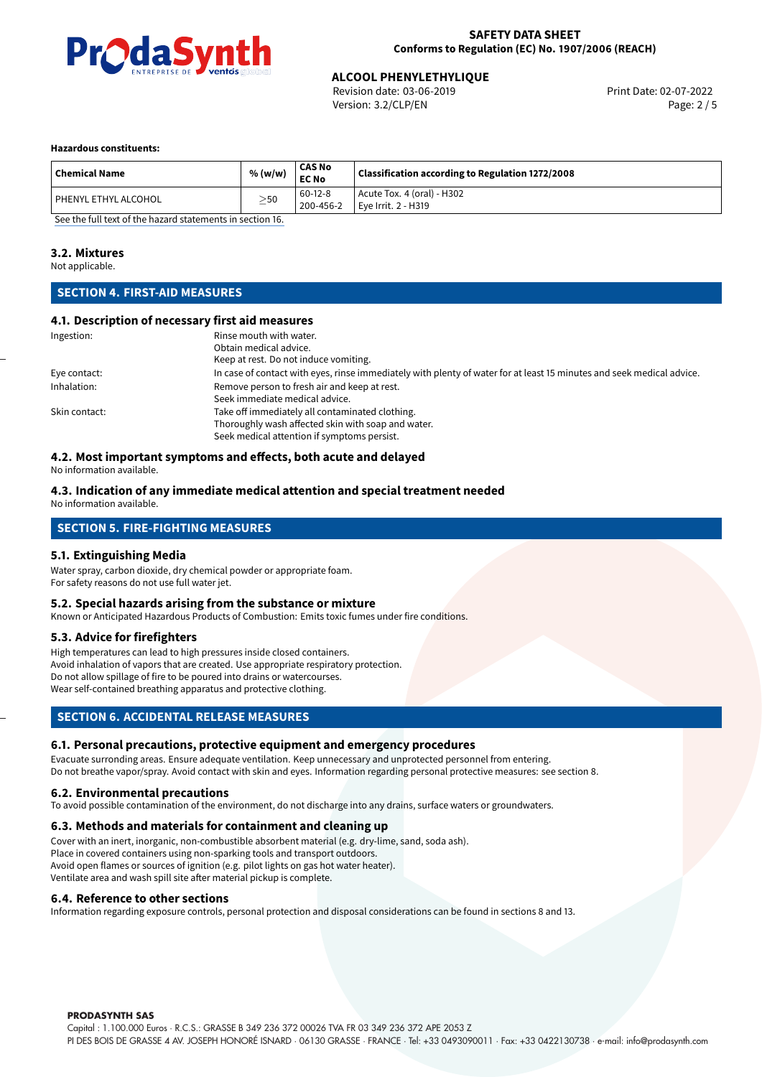

Revision date: 03-06-2019 Version: 3.2/CLP/EN Page: 2 / 5

#### **Hazardous constituents:**

| <b>Chemical Name</b>   | % (w/w)   | CAS No<br><b>EC No</b> | Classification according to Regulation 1272/2008    |
|------------------------|-----------|------------------------|-----------------------------------------------------|
| I PHENYL ETHYL ALCOHOL | $\geq$ 50 | 60-12-8<br>200-456-2   | Acute Tox. 4 (oral) - H302<br>l Eve Irrit. 2 - H319 |

[See the full text of the hazard statements in section 16.](#page-4-0)

#### **3.2. Mixtures**

Not applicable.

#### **SECTION 4. FIRST-AID MEASURES**

#### **4.1. Description of necessary first aid measures**

| Ingestion:    | Rinse mouth with water.                                                                                               |  |  |
|---------------|-----------------------------------------------------------------------------------------------------------------------|--|--|
|               | Obtain medical advice.                                                                                                |  |  |
|               | Keep at rest. Do not induce vomiting.                                                                                 |  |  |
| Eye contact:  | In case of contact with eyes, rinse immediately with plenty of water for at least 15 minutes and seek medical advice. |  |  |
| Inhalation:   | Remove person to fresh air and keep at rest.                                                                          |  |  |
|               | Seek immediate medical advice.                                                                                        |  |  |
| Skin contact: | Take off immediately all contaminated clothing.                                                                       |  |  |
|               | Thoroughly wash affected skin with soap and water.                                                                    |  |  |
|               | Seek medical attention if symptoms persist.                                                                           |  |  |

#### **4.2. Most important symptoms and effects, both acute and delayed**

No information available.

#### **4.3. Indication of any immediate medical attention and special treatment needed** No information available.

### **SECTION 5. FIRE-FIGHTING MEASURES**

#### **5.1. Extinguishing Media**

Water spray, carbon dioxide, dry chemical powder or appropriate foam. For safety reasons do not use full water jet.

#### **5.2. Special hazards arising from the substance or mixture**

Known or Anticipated Hazardous Products of Combustion: Emits toxic fumes under fire conditions.

#### **5.3. Advice for firefighters**

High temperatures can lead to high pressures inside closed containers. Avoid inhalation of vapors that are created. Use appropriate respiratory protection. Do not allow spillage of fire to be poured into drains or watercourses. Wear self-contained breathing apparatus and protective clothing.

#### **SECTION 6. ACCIDENTAL RELEASE MEASURES**

#### **6.1. Personal precautions, protective equipment and emergency procedures**

Evacuate surronding areas. Ensure adequate ventilation. Keep unnecessary and unprotected personnel from entering. Do not breathe vapor/spray. Avoid contact with skin and eyes. Information regarding personal protective measures: see section 8.

#### **6.2. Environmental precautions**

To avoid possible contamination of the environment, do not discharge into any drains, surface waters or groundwaters.

#### **6.3. Methods and materials for containment and cleaning up**

Cover with an inert, inorganic, non-combustible absorbent material (e.g. dry-lime, sand, soda ash). Place in covered containers using non-sparking tools and transport outdoors. Avoid open flames or sources of ignition (e.g. pilot lights on gas hot water heater). Ventilate area and wash spill site after material pickup is complete.

#### **6.4. Reference to other sections**

Information regarding exposure controls, personal protection and disposal considerations can be found in sections 8 and 13.

#### **PRODASYNTH SAS**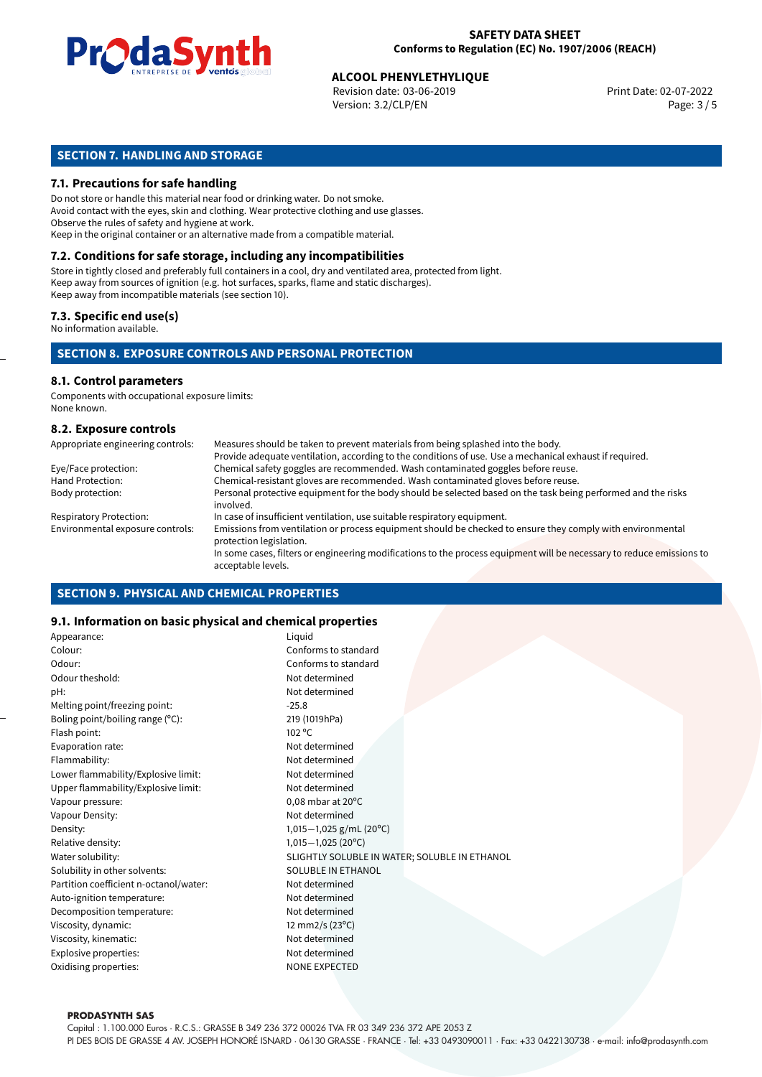

Revision date: 03-06-2019 Version: 3.2/CLP/EN Page: 3 / 5

#### **SECTION 7. HANDLING AND STORAGE**

#### **7.1. Precautions for safe handling**

Do not store or handle this material near food or drinking water. Do not smoke. Avoid contact with the eyes, skin and clothing. Wear protective clothing and use glasses. Observe the rules of safety and hygiene at work. Keep in the original container or an alternative made from a compatible material.

### **7.2. Conditions for safe storage, including any incompatibilities**

Store in tightly closed and preferably full containers in a cool, dry and ventilated area, protected from light. Keep away from sources of ignition (e.g. hot surfaces, sparks, flame and static discharges). Keep away from incompatible materials (see section 10).

#### **7.3. Specific end use(s)**

No information available.

#### **SECTION 8. EXPOSURE CONTROLS AND PERSONAL PROTECTION**

#### **8.1. Control parameters**

Components with occupational exposure limits: None known.

#### **8.2. Exposure controls**

| Appropriate engineering controls: | Measures should be taken to prevent materials from being splashed into the body.                                                            |
|-----------------------------------|---------------------------------------------------------------------------------------------------------------------------------------------|
|                                   | Provide adequate ventilation, according to the conditions of use. Use a mechanical exhaust if required.                                     |
| Eye/Face protection:              | Chemical safety goggles are recommended. Wash contaminated goggles before reuse.                                                            |
| Hand Protection:                  | Chemical-resistant gloves are recommended. Wash contaminated gloves before reuse.                                                           |
| Body protection:                  | Personal protective equipment for the body should be selected based on the task being performed and the risks<br>involved.                  |
| <b>Respiratory Protection:</b>    | In case of insufficient ventilation, use suitable respiratory equipment.                                                                    |
| Environmental exposure controls:  | Emissions from ventilation or process equipment should be checked to ensure they comply with environmental<br>protection legislation.       |
|                                   | In some cases, filters or engineering modifications to the process equipment will be necessary to reduce emissions to<br>acceptable levels. |

#### **SECTION 9. PHYSICAL AND CHEMICAL PROPERTIES**

#### **9.1. Information on basic physical and chemical properties**

| Appearance:                            | Liquid                                        |
|----------------------------------------|-----------------------------------------------|
| Colour:                                | Conforms to standard                          |
| Odour:                                 | Conforms to standard                          |
| Odour theshold:                        | Not determined                                |
| pH:                                    | Not determined                                |
| Melting point/freezing point:          | $-25.8$                                       |
| Boling point/boiling range (°C):       | 219 (1019hPa)                                 |
| Flash point:                           | $102^{\circ}$ C                               |
| Evaporation rate:                      | Not determined                                |
| Flammability:                          | Not determined                                |
| Lower flammability/Explosive limit:    | Not determined                                |
| Upper flammability/Explosive limit:    | Not determined                                |
| Vapour pressure:                       | 0,08 mbar at $20^{\circ}$ C                   |
| Vapour Density:                        | Not determined                                |
| Density:                               | 1,015 $-1,025$ g/mL (20°C)                    |
| Relative density:                      | $1,015-1,025(20°C)$                           |
| Water solubility:                      | SLIGHTLY SOLUBLE IN WATER; SOLUBLE IN ETHANOL |
| Solubility in other solvents:          | SOLUBLE IN ETHANOL                            |
| Partition coefficient n-octanol/water: | Not determined                                |
| Auto-ignition temperature:             | Not determined                                |
| Decomposition temperature:             | Not determined                                |
| Viscosity, dynamic:                    | 12 mm2/s (23°C)                               |
| Viscosity, kinematic:                  | Not determined                                |
| Explosive properties:                  | Not determined                                |
| Oxidising properties:                  | <b>NONE EXPECTED</b>                          |
|                                        |                                               |

#### **PRODASYNTH SAS**

Capital : 1.100.000 Euros · R.C.S.: GRASSE B 349 236 372 00026 TVA FR 03 349 236 372 APE 2053 Z PI DES BOIS DE GRASSE 4 AV. JOSEPH HONORÉ ISNARD · 06130 GRASSE · FRANCE · Tel: +33 0493090011 · Fax: +33 0422130738 · e-mail: info@prodasynth.com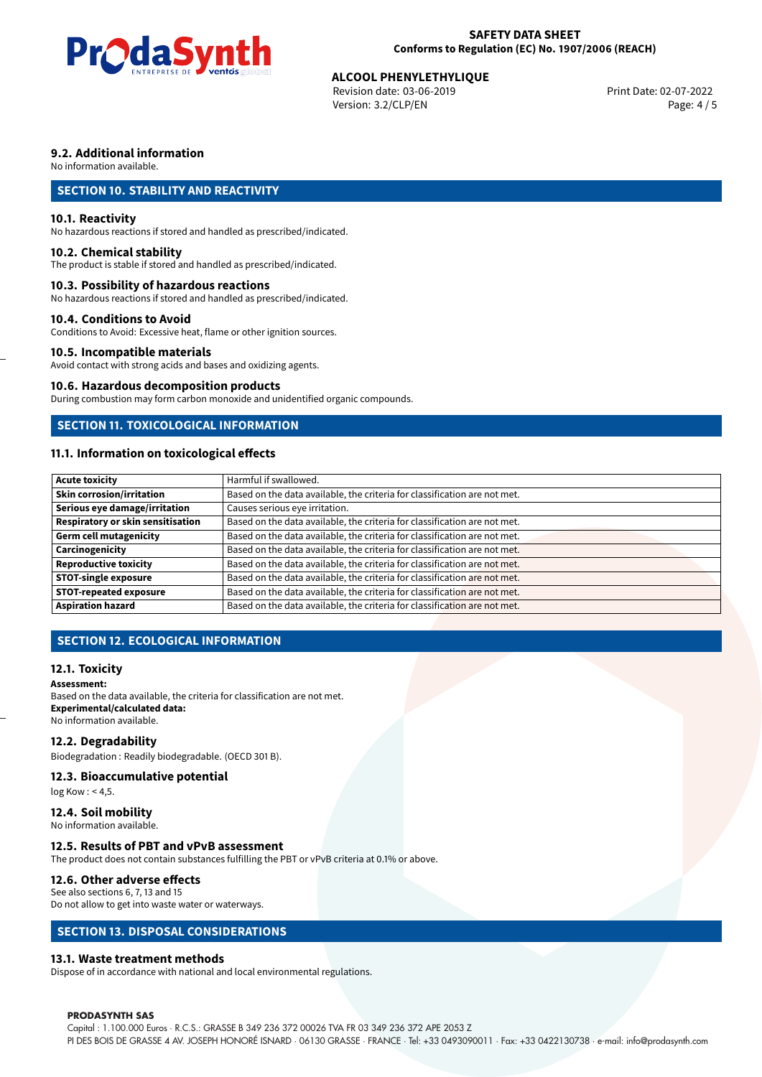

Revision date: 03-06-2019 Version: 3.2/CLP/EN Page: 4 / 5

#### **9.2. Additional information**

No information available.

#### **SECTION 10. STABILITY AND REACTIVITY**

#### **10.1. Reactivity**

No hazardous reactions if stored and handled as prescribed/indicated.

#### **10.2. Chemical stability**

The product is stable if stored and handled as prescribed/indicated.

#### **10.3. Possibility of hazardous reactions**

No hazardous reactions if stored and handled as prescribed/indicated.

#### **10.4. Conditions to Avoid**

Conditions to Avoid: Excessive heat, flame or other ignition sources.

#### **10.5. Incompatible materials**

Avoid contact with strong acids and bases and oxidizing agents.

#### **10.6. Hazardous decomposition products**

During combustion may form carbon monoxide and unidentified organic compounds.

#### **SECTION 11. TOXICOLOGICAL INFORMATION**

#### **11.1. Information on toxicological effects**

| <b>Acute toxicity</b>             | Harmful if swallowed.                                                     |
|-----------------------------------|---------------------------------------------------------------------------|
| Skin corrosion/irritation         | Based on the data available, the criteria for classification are not met. |
| Serious eye damage/irritation     | Causes serious eye irritation.                                            |
| Respiratory or skin sensitisation | Based on the data available, the criteria for classification are not met. |
| Germ cell mutagenicity            | Based on the data available, the criteria for classification are not met. |
| Carcinogenicity                   | Based on the data available, the criteria for classification are not met. |
| <b>Reproductive toxicity</b>      | Based on the data available, the criteria for classification are not met. |
| <b>STOT-single exposure</b>       | Based on the data available, the criteria for classification are not met. |
| <b>STOT-repeated exposure</b>     | Based on the data available, the criteria for classification are not met. |
| <b>Aspiration hazard</b>          | Based on the data available, the criteria for classification are not met. |

#### **SECTION 12. ECOLOGICAL INFORMATION**

#### **12.1. Toxicity**

#### **Assessment:**

Based on the data available, the criteria for classification are not met. **Experimental/calculated data:** No information available.

#### **12.2. Degradability**

Biodegradation : Readily biodegradable. (OECD 301 B).

#### **12.3. Bioaccumulative potential**

log Kow : < 4,5.

**12.4. Soil mobility** No information available.

#### **12.5. Results of PBT and vPvB assessment**

The product does not contain substances fulfilling the PBT or vPvB criteria at 0.1% or above.

#### **12.6. Other adverse effects**

See also sections 6, 7, 13 and 15 Do not allow to get into waste water or waterways.

#### **SECTION 13. DISPOSAL CONSIDERATIONS**

#### **13.1. Waste treatment methods**

Dispose of in accordance with national and local environmental regulations.

#### **PRODASYNTH SAS**

Capital : 1.100.000 Euros · R.C.S.: GRASSE B 349 236 372 00026 TVA FR 03 349 236 372 APE 2053 Z PI DES BOIS DE GRASSE 4 AV. JOSEPH HONORÉ ISNARD · 06130 GRASSE · FRANCE · Tel: +33 0493090011 · Fax: +33 0422130738 · e-mail: info@prodasynth.com